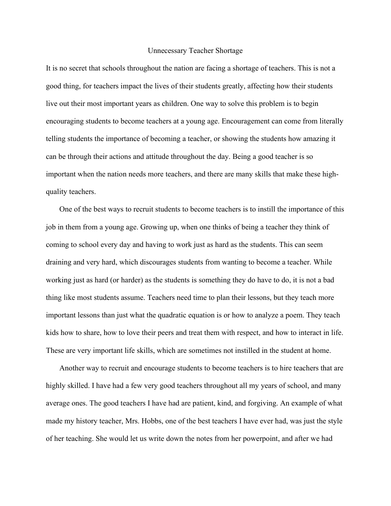## Unnecessary Teacher Shortage

It is no secret that schools throughout the nation are facing a shortage of teachers. This is not a good thing, for teachers impact the lives of their students greatly, affecting how their students live out their most important years as children. One way to solve this problem is to begin encouraging students to become teachers at a young age. Encouragement can come from literally telling students the importance of becoming a teacher, or showing the students how amazing it can be through their actions and attitude throughout the day. Being a good teacher is so important when the nation needs more teachers, and there are many skills that make these highquality teachers.

 One of the best ways to recruit students to become teachers is to instill the importance of this job in them from a young age. Growing up, when one thinks of being a teacher they think of coming to school every day and having to work just as hard as the students. This can seem draining and very hard, which discourages students from wanting to become a teacher. While working just as hard (or harder) as the students is something they do have to do, it is not a bad thing like most students assume. Teachers need time to plan their lessons, but they teach more important lessons than just what the quadratic equation is or how to analyze a poem. They teach kids how to share, how to love their peers and treat them with respect, and how to interact in life. These are very important life skills, which are sometimes not instilled in the student at home.

 Another way to recruit and encourage students to become teachers is to hire teachers that are highly skilled. I have had a few very good teachers throughout all my years of school, and many average ones. The good teachers I have had are patient, kind, and forgiving. An example of what made my history teacher, Mrs. Hobbs, one of the best teachers I have ever had, was just the style of her teaching. She would let us write down the notes from her powerpoint, and after we had